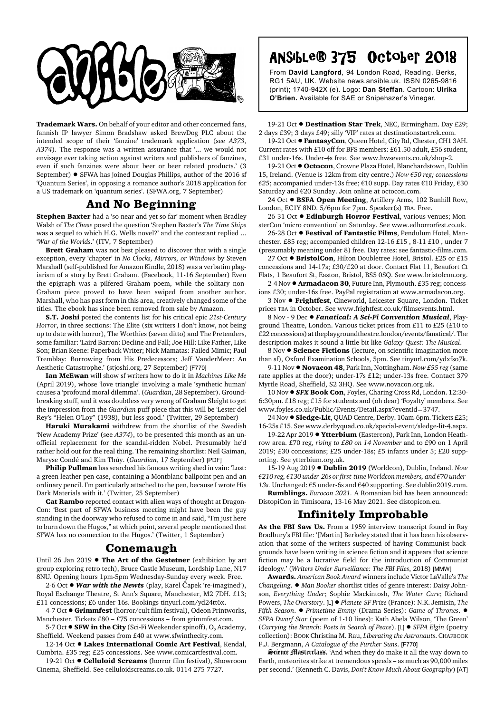

**Trademark Wars.** On behalf of your editor and other concerned fans, fannish IP lawyer Simon Bradshaw asked BrewDog PLC about the intended scope of their 'fanzine' trademark application (see *A373*, *A374*). The response was a written assurance that '... we would not envisage ever taking action against writers and publishers of fanzines, even if such fanzines were about beer or beer related products.' (3 September) . SFWA has joined Douglas Phillips, author of the 2016 sf 'Quantum Series', in opposing a romance author's 2018 application for a US trademark on 'quantum series'. (SFWA.org, 7 September)

## **And No Beginning**

**Stephen Baxter** had a 'so near and yet so far' moment when Bradley Walsh of *The Chase* posed the question 'Stephen Baxter's *The Time Ships* was a sequel to which H.G. Wells novel?' and the contestant replied ... '*War of the Worlds*.' (ITV, 7 September)

**Brett Graham** was not best pleased to discover that with a single exception, every 'chapter' in *No Clocks, Mirrors, or Windows* by Steven Marshall (self-published for Amazon Kindle, 2018) was a verbatim plagiarism of a story by Brett Graham. (Facebook, 11-16 September) Even the epigraph was a pilfered Graham poem, while the solitary non-Graham piece proved to have been swiped from another author. Marshall, who has past form in this area, creatively changed some of the titles. The ebook has since been removed from sale by Amazon.

**S.T. Joshi** posted the contents list for his critical epic *21st-Century Horror*, in three sections: The Elite (six writers I don't know, not being up to date with horror), The Worthies (seven ditto) and The Pretenders, some familiar: 'Laird Barron: Decline and Fall; Joe Hill: Like Father, Like Son; Brian Keene: Paperback Writer; Nick Mamatas: Failed Mimic; Paul Tremblay: Borrowing from His Predecessors; Jeff VanderMeer: An Aesthetic Catastrophe.' (stjoshi.org, 27 September) [F770]

**Ian McEwan** will show sf writers how to do it in *Machines Like Me* (April 2019), whose 'love triangle' involving a male 'synthetic human' causes a 'profound moral dilemma'. (*Guardian*, 28 September). Groundbreaking stuff, and it was doubtless very wrong of Graham Sleight to get the impression from the *Guardian* puff-piece that this will be 'Lester del Rey's "Helen O'Loy" (1938), but less good.' (Twitter, 29 September)

**Haruki Murakami** withdrew from the shortlist of the Swedish 'New Academy Prize' (see *A374*), to be presented this month as an unofficial replacement for the scandal-ridden Nobel. Presumably he'd rather hold out for the real thing. The remaining shortlist: Neil Gaiman, Maryse Condé and Kim Thúy. (*Guardian*, 17 September) [PDF]

**Philip Pullman** has searched his famous writing shed in vain: 'Lost: a green leather pen case, containing a Montblanc ballpoint pen and an ordinary pencil. I'm particularly attached to the pen, because I wrote His Dark Materials with it.' (Twitter, 25 September)

**Cat Rambo** reported contact with alien ways of thought at Dragon-Con: 'Best part of SFWA business meeting might have been the guy standing in the doorway who refused to come in and said, "I'm just here to burn down the Hugos," at which point, several people mentioned that SFWA has no connection to the Hugos.' (Twitter, 1 September)

## **Conemaugh**

Until 26 Jan 2019 **· The Art of the Gestetner** (exhibition by art group exploring retro tech), Bruce Castle Museum, Lordship Lane, N17 8NU. Opening hours 1pm-5pm Wednesday-Sunday every week. Free.

2-6 Oct ● *War with the Newts* (play, Karel Čapek 're-imagined'), Royal Exchange Theatre, St Ann's Square, Manchester, M2 7DH. £13; £11 concessions; £6 under-16s. Bookings tinyurl.com/yd24tt6x.

4-7 Oct ● Grimmfest (horror/cult film festival), Odeon Printworks, Manchester. Tickets £80 – £75 concessions – from grimmfest.com.

5-7 Oct  $\bullet$  **SFW in the City** (Sci-Fi Weekender spinoff), O<sub>2</sub> Academy, Sheffield. Weekend passes from £40 at www.sfwinthecity.com.

12-14 Oct  $\bullet$  Lakes International Comic Art Festival, Kendal, Cumbria. £35 reg; £25 concessions. See www.comicartfestival.com.

19-21 Oct  $\bullet$  **Celluloid Screams** (horror film festival), Showroom Cinema, Sheffield. See celluloidscreams.co.uk. 0114 275 7727.

## Ansible® 375 October 2018 Ansible® 375 October 2018

From **David Langford**, 94 London Road, Reading, Berks, RG1 5AU, UK. Website news.ansible.uk. ISSN 0265-9816 (print); 1740-942X (e). Logo: **Dan Steffan**. Cartoon: **Ulrika O'Brien.** Available for SAE or Snipehazer's Vinegar.

19-21 Oct  $\bullet$  **Destination Star Trek**, NEC, Birmingham. Day £29; 2 days £39; 3 days £49; silly 'VIP' rates at destinationstartrek.com.

19-21 Oct  $\bullet$  FantasyCon, Queen Hotel, City Rd, Chester, CH1 3AH. Current rates with £10 off for BFS members: £61.50 adult, £56 student, £31 under-16s. Under-4s free. See www.hwsevents.co.uk/shop-2.

19-21 Oct  $\bullet$  Octocon, Crowne Plaza Hotel, Blanchardstown, Dublin 15, Ireland. (Venue is 12km from city centre.) *Now €50 reg; concessions €25*; accompanied under-13s free; €10 supp. Day rates €10 Friday, €30 Saturday and €20 Sunday. Join online at octocon.com.

24 Oct  $\bullet$  **BSFA Open Meeting**, Artillery Arms, 102 Bunhill Row, London, EC1Y 8ND. 5/6pm for 7pm. Speaker(s) TBA. Free.

26-31 Oct  $\bullet$  **Edinburgh Horror Festival**, various venues; MonsterCon 'micro convention' on Saturday. See www.edhorrorfest.co.uk.

26-28 Oct ! **Festival of Fantastic Films**, Pendulum Hotel, Manchester. £85 reg; accompanied children 12-16 £15 , 8-11 £10 , under 7 (presumably meaning under 8) free. Day rates: see fantastic-films.com.

27 Oct ● BristolCon, Hilton Doubletree Hotel, Bristol. £25 or £15 concessions and  $14-17s$ ;  $f30/f20$  at door. Contact Flat 11, Beaufort Ct. Flats, 1 Beaufort St, Easton, Bristol, BS5 0SQ. See www.bristolcon.org.

2-4 Nov ! **Armadacon 30**, Future Inn, Plymouth. £35 reg; concessions £30; under-16s free. PayPal registration at www.armadacon.org.

3 Nov ! **Frightfest**, Cineworld, Leicester Square, London. Ticket prices TBA in October. See www.frightfest.co.uk/filmsevents.html.

8 Nov - 9 Dec  $\bullet$  *Fanatical: A Sci-Fi Convention Musical*, Playground Theatre, London. Various ticket prices from £11 to £25 (£10 to £22 concessions) at theplaygroundtheatre.london/events/fanatical/. The description makes it sound a little bit like *Galaxy Quest: The Musical*.

8 Nov  $\bullet$  **Science Fictions** (lecture, on scientific imagination more than sf), Oxford Examination Schools, 5pm. See tinyurl.com/ydxfso7k.

9-11 Nov ! **Novacon 48**, Park Inn, Nottingham. *Now £55 reg* (same rate applies at the door); under-17s £12; under-13s free. Contact 379 Myrtle Road, Sheffield, S2 3HQ. See www.novacon.org.uk.

10 Nov ! *SFX* **Book Con**, Foyles, Charing Cross Rd, London. 12:30- 6:30pm. £18 reg; £15 for students and (oh dear) 'Foyalty' members. See www.foyles.co.uk/Public/Events/Detail.aspx?eventId=3747.

24 Nov ● Sledge-Lit, QUAD Centre, Derby. 10am-6pm. Tickets £25; 16-25s £15. See www.derbyquad.co.uk/special-event/sledge-lit-4.aspx.

19-22 Apr 2019 . Ytterbium (Eastercon), Park Inn, London Heathrow area. £70 reg, *rising to £80 on 14 November* and to £90 on 1 April 2019; £30 concessions; £25 under-18s; £5 infants under 5; £20 supporting. See ytterbium.org.uk.

15-19 Aug 2019 ! **Dublin 2019** (Worldcon), Dublin, Ireland. *Now €210 reg, €130 under-26s or first-time Worldcon members, and €70 under-13s.* Unchanged: €5 under-6s and €40 supporting. See dublin2019.com.

**Rumblings.** *Eurocon 2021.* A Romanian bid has been announced: DistopiCon in Timisoara, 13-16 May 2021. See distopicon.eu.

## **Infinitely Improbable**

**As the FBI Saw Us.** From a 1959 interview transcript found in Ray Bradbury's FBI file: '[Martin] Berkeley stated that it has been his observation that some of the writers suspected of having Communist backgrounds have been writing in science fiction and it appears that science fiction may be a lucrative field for the introduction of Communist ideology.' (*Writers Under Surveillance: The FBI Files*, 2018) [MMW]

**Awards.** *American Book Award* winners include Victor LaValle's *The Changeling.*  $\bullet$  *Man Booker shortlist titles of genre interest: Daisy John*son, *Everything Under*; Sophie Mackintosh, *The Water Cure*; Richard Powers, *The Overstory*. [L] ! *Planete-SF Prize* (France): N.K. Jemisin, *The Fifth Season*. ! *Primetime Emmy* (Drama Series): *Game of Thrones*. ! *SFPA Dwarf Star* (poem of 1-10 lines): Kath Abela Wilson, 'The Green' (*Carrying the Branch: Poets in Search of Peace*). [L] ! *SFPA Elgin* (poetry collection): BOOK Christina M. Rau, *Liberating the Astronauts*. CHAPBOOK F.J. Bergmann, *A Catalogue of the Further Suns*. [F770]

Science Masterclass. 'And when they do make it all the way down to Earth, meteorites strike at tremendous speeds – as much as 90,000 miles per second.' (Kenneth C. Davis, *Don't Know Much About Geography*) [AT]